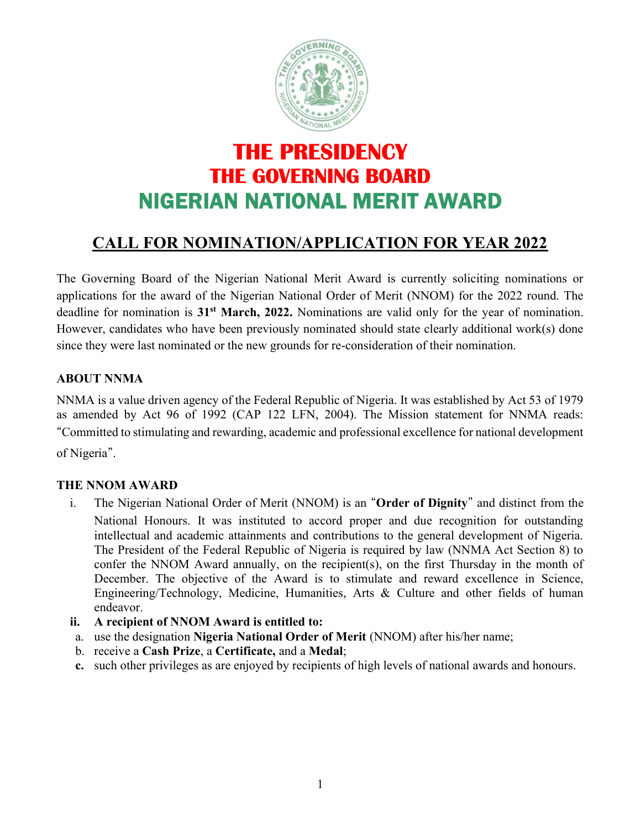

# THE PRESIDENCY THE GOVERNING BOARD NIGERIAN NATIONAL MERIT AWARD

# CALL FOR NOMINATION/APPLICATION FOR YEAR 2022

The Governing Board of the Nigerian National Merit Award is currently soliciting nominations or applications for the award of the Nigerian National Order of Merit (NNOM) for the 2022 round. The deadline for nomination is 31<sup>st</sup> March, 2022. Nominations are valid only for the year of nomination. However, candidates who have been previously nominated should state clearly additional work(s) done since they were last nominated or the new grounds for re-consideration of their nomination.

#### ABOUT NNMA

NNMA is a value driven agency of the Federal Republic of Nigeria. It was established by Act 53 of 1979 as amended by Act 96 of 1992 (CAP 122 LFN, 2004). The Mission statement for NNMA reads: "Committed to stimulating and rewarding, academic and professional excellence for national development of Nigeria".

#### THE NNOM AWARD

- i. The Nigerian National Order of Merit (NNOM) is an "Order of Dignity" and distinct from the National Honours. It was instituted to accord proper and due recognition for outstanding intellectual and academic attainments and contributions to the general development of Nigeria. The President of the Federal Republic of Nigeria is required by law (NNMA Act Section 8) to confer the NNOM Award annually, on the recipient(s), on the first Thursday in the month of December. The objective of the Award is to stimulate and reward excellence in Science, Engineering/Technology, Medicine, Humanities, Arts & Culture and other fields of human endeavor.
- ii. A recipient of NNOM Award is entitled to:
- a. use the designation Nigeria National Order of Merit (NNOM) after his/her name;
- b. receive a Cash Prize, a Certificate, and a Medal;
- c. such other privileges as are enjoyed by recipients of high levels of national awards and honours.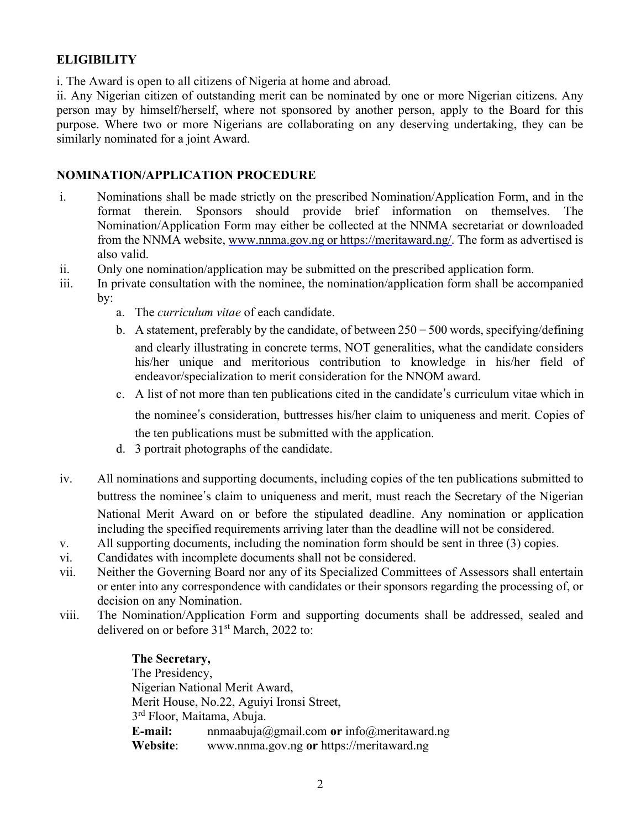### **ELIGIBILITY**

i. The Award is open to all citizens of Nigeria at home and abroad.

ii. Any Nigerian citizen of outstanding merit can be nominated by one or more Nigerian citizens. Any person may by himself/herself, where not sponsored by another person, apply to the Board for this purpose. Where two or more Nigerians are collaborating on any deserving undertaking, they can be similarly nominated for a joint Award.

#### NOMINATION/APPLICATION PROCEDURE

- i. Nominations shall be made strictly on the prescribed Nomination/Application Form, and in the format therein. Sponsors should provide brief information on themselves. The Nomination/Application Form may either be collected at the NNMA secretariat or downloaded from the NNMA website, www.nnma.gov.ng or https://meritaward.ng/. The form as advertised is also valid.
- ii. Only one nomination/application may be submitted on the prescribed application form.
- iii. In private consultation with the nominee, the nomination/application form shall be accompanied by:
	- a. The curriculum vitae of each candidate.
	- b. A statement, preferably by the candidate, of between  $250 500$  words, specifying/defining and clearly illustrating in concrete terms, NOT generalities, what the candidate considers his/her unique and meritorious contribution to knowledge in his/her field of endeavor/specialization to merit consideration for the NNOM award.
	- c. A list of not more than ten publications cited in the candidate's curriculum vitae which in

the nominee's consideration, buttresses his/her claim to uniqueness and merit. Copies of the ten publications must be submitted with the application.

- d. 3 portrait photographs of the candidate.
- iv. All nominations and supporting documents, including copies of the ten publications submitted to buttress the nominee's claim to uniqueness and merit, must reach the Secretary of the Nigerian National Merit Award on or before the stipulated deadline. Any nomination or application including the specified requirements arriving later than the deadline will not be considered.
- v. All supporting documents, including the nomination form should be sent in three (3) copies.
- vi. Candidates with incomplete documents shall not be considered.
- vii. Neither the Governing Board nor any of its Specialized Committees of Assessors shall entertain or enter into any correspondence with candidates or their sponsors regarding the processing of, or decision on any Nomination.
- viii. The Nomination/Application Form and supporting documents shall be addressed, sealed and delivered on or before 31<sup>st</sup> March, 2022 to:

#### The Secretary,

The Presidency, Nigerian National Merit Award, Merit House, No.22, Aguiyi Ironsi Street, 3<sup>rd</sup> Floor, Maitama, Abuja. E-mail: nnmaabuja@gmail.com or info@meritaward.ng Website: www.nnma.gov.ng or https://meritaward.ng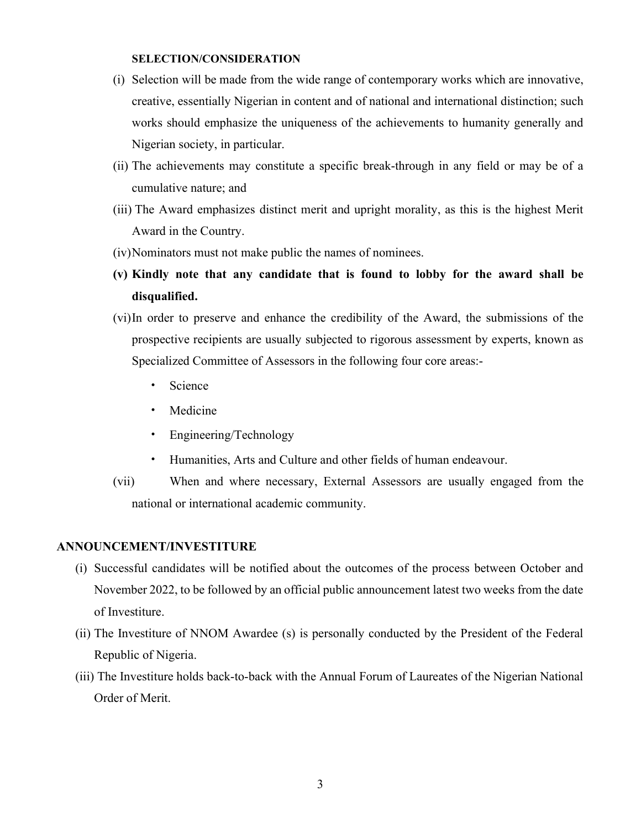#### SELECTION/CONSIDERATION

- (i) Selection will be made from the wide range of contemporary works which are innovative, creative, essentially Nigerian in content and of national and international distinction; such works should emphasize the uniqueness of the achievements to humanity generally and Nigerian society, in particular.
- (ii) The achievements may constitute a specific break-through in any field or may be of a cumulative nature; and
- (iii) The Award emphasizes distinct merit and upright morality, as this is the highest Merit Award in the Country.
- (iv)Nominators must not make public the names of nominees.
- (v) Kindly note that any candidate that is found to lobby for the award shall be disqualified.
- (vi)In order to preserve and enhance the credibility of the Award, the submissions of the prospective recipients are usually subjected to rigorous assessment by experts, known as Specialized Committee of Assessors in the following four core areas:-
	- Science
	- Medicine
	- Engineering/Technology
	- Humanities, Arts and Culture and other fields of human endeavour.
- (vii) When and where necessary, External Assessors are usually engaged from the national or international academic community.

#### ANNOUNCEMENT/INVESTITURE

- (i) Successful candidates will be notified about the outcomes of the process between October and November 2022, to be followed by an official public announcement latest two weeks from the date of Investiture.
- (ii) The Investiture of NNOM Awardee (s) is personally conducted by the President of the Federal Republic of Nigeria.
- (iii) The Investiture holds back-to-back with the Annual Forum of Laureates of the Nigerian National Order of Merit.